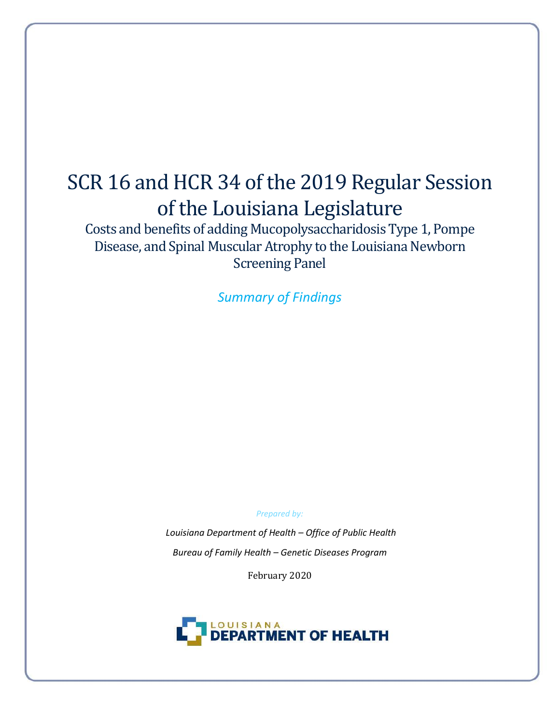# SCR 16 and HCR 34 of the 2019 Regular Session of the Louisiana Legislature

Costs and benefits of adding Mucopolysaccharidosis Type 1, Pompe Disease, and Spinal Muscular Atrophy to the Louisiana Newborn Screening Panel

*Summary of Findings*

*Prepared by:* 

*Louisiana Department of Health – Office of Public Health Bureau of Family Health – Genetic Diseases Program*

February 2020

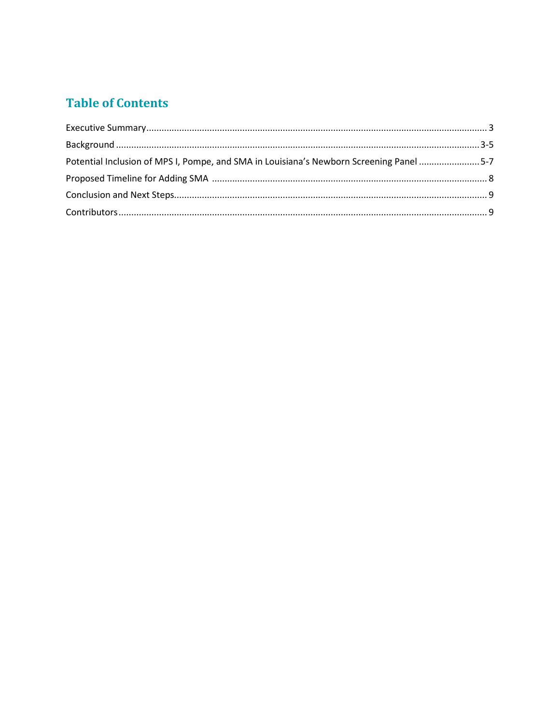# **Table of Contents**

| Potential Inclusion of MPS I, Pompe, and SMA in Louisiana's Newborn Screening Panel 5-7 |  |
|-----------------------------------------------------------------------------------------|--|
|                                                                                         |  |
|                                                                                         |  |
|                                                                                         |  |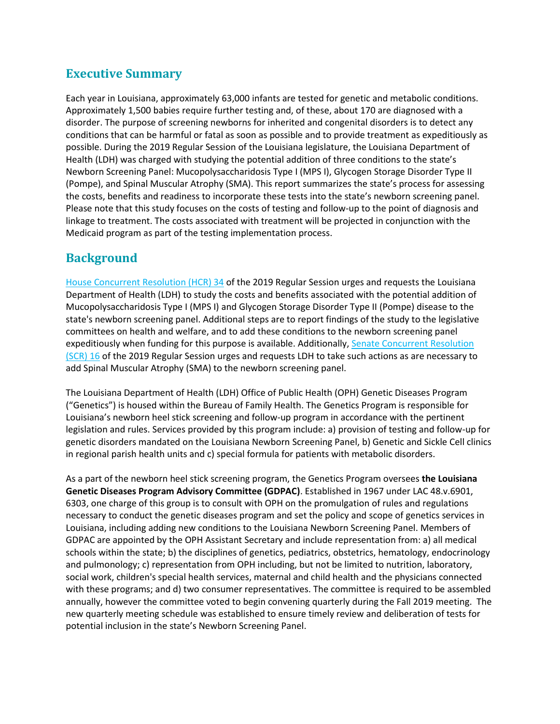### **Executive Summary**

Each year in Louisiana, approximately 63,000 infants are tested for genetic and metabolic conditions. Approximately 1,500 babies require further testing and, of these, about 170 are diagnosed with a disorder. The purpose of screening newborns for inherited and congenital disorders is to detect any conditions that can be harmful or fatal as soon as possible and to provide treatment as expeditiously as possible. During the 2019 Regular Session of the Louisiana legislature, the Louisiana Department of Health (LDH) was charged with studying the potential addition of three conditions to the state's Newborn Screening Panel: Mucopolysaccharidosis Type I (MPS I), Glycogen Storage Disorder Type II (Pompe), and Spinal Muscular Atrophy (SMA). This report summarizes the state's process for assessing the costs, benefits and readiness to incorporate these tests into the state's newborn screening panel. Please note that this study focuses on the costs of testing and follow-up to the point of diagnosis and linkage to treatment. The costs associated with treatment will be projected in conjunction with the Medicaid program as part of the testing implementation process.

### **Background**

[House Concurrent Resolution \(HCR\) 34](https://www.legis.la.gov/legis/BillInfo.aspx?s=19RS&b=HCR34&sbi=y) of the 2019 Regular Session urges and requests the Louisiana Department of Health (LDH) to study the costs and benefits associated with the potential addition of Mucopolysaccharidosis Type I (MPS I) and Glycogen Storage Disorder Type II (Pompe) disease to the state's newborn screening panel. Additional steps are to report findings of the study to the legislative committees on health and welfare, and to add these conditions to the newborn screening panel expeditiously when funding for this purpose is available. Additionally, Senate Concurrent Resolution [\(SCR\) 16](https://www.legis.la.gov/legis/BillInfo.aspx?s=19RS&b=SCR16&sbi=y) of the 2019 Regular Session urges and requests LDH to take such actions as are necessary to add Spinal Muscular Atrophy (SMA) to the newborn screening panel.

The Louisiana Department of Health (LDH) Office of Public Health (OPH) Genetic Diseases Program ("Genetics") is housed within the Bureau of Family Health. The Genetics Program is responsible for Louisiana's newborn heel stick screening and follow-up program in accordance with the pertinent legislation and rules. Services provided by this program include: a) provision of testing and follow-up for genetic disorders mandated on the Louisiana Newborn Screening Panel, b) Genetic and Sickle Cell clinics in regional parish health units and c) special formula for patients with metabolic disorders.

As a part of the newborn heel stick screening program, the Genetics Program oversees **the Louisiana Genetic Diseases Program Advisory Committee (GDPAC)**. Established in 1967 under LAC 48.v.6901, 6303, one charge of this group is to consult with OPH on the promulgation of rules and regulations necessary to conduct the genetic diseases program and set the policy and scope of genetics services in Louisiana, including adding new conditions to the Louisiana Newborn Screening Panel. Members of GDPAC are appointed by the OPH Assistant Secretary and include representation from: a) all medical schools within the state; b) the disciplines of genetics, pediatrics, obstetrics, hematology, endocrinology and pulmonology; c) representation from OPH including, but not be limited to nutrition, laboratory, social work, children's special health services, maternal and child health and the physicians connected with these programs; and d) two consumer representatives. The committee is required to be assembled annually, however the committee voted to begin convening quarterly during the Fall 2019 meeting. The new quarterly meeting schedule was established to ensure timely review and deliberation of tests for potential inclusion in the state's Newborn Screening Panel.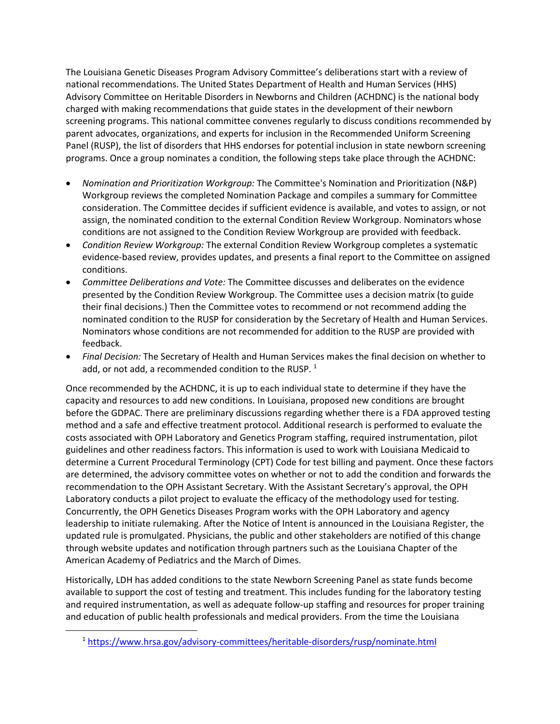The Louisiana Genetic Diseases Program Advisory Committee's deliberations start with a review of national recommendations. The United States Department of Health and Human Services (HHS) Advisory Committee on Heritable Disorders in Newborns and Children (ACHDNC) is the national body charged with making recommendations that guide states in the development of their newborn screening programs. This national committee convenes regularly to discuss conditions recommended by parent advocates, organizations, and experts for inclusion in the Recommended Uniform Screening Panel (RUSP), the list of disorders that HHS endorses for potential inclusion in state newborn screening programs. Once a group nominates a condition, the following steps take place through the ACHDNC:

- *Nomination and Prioritization Workgroup:* The Committee's Nomination and Prioritization (N&P) Workgroup reviews the completed Nomination Package and compiles a summary for Committee consideration. The Committee decides if sufficient evidence is available, and votes to assign, or not assign, the nominated condition to the external Condition Review Workgroup. Nominators whose conditions are not assigned to the Condition Review Workgroup are provided with feedback.
- *Condition Review Workgroup:* The external Condition Review Workgroup completes a systematic evidence-based review, provides updates, and presents a final report to the Committee on assigned conditions.
- *Committee Deliberations and Vote:* The Committee discusses and deliberates on the evidence presented by the Condition Review Workgroup. The Committee uses a decision matrix (to guide their final decisions.) Then the Committee votes to recommend or not recommend adding the nominated condition to the RUSP for consideration by the Secretary of Health and Human Services. Nominators whose conditions are not recommended for addition to the RUSP are provided with feedback.
- *Final Decision:* The Secretary of Health and Human Services makes the final decision on whether to add, or not add, a recommended condition to the RUSP.  $1$

Once recommended by the ACHDNC, it is up to each individual state to determine if they have the capacity and resources to add new conditions. In Louisiana, proposed new conditions are brought before the GDPAC. There are preliminary discussions regarding whether there is a FDA approved testing method and a safe and effective treatment protocol. Additional research is performed to evaluate the costs associated with OPH Laboratory and Genetics Program staffing, required instrumentation, pilot guidelines and other readiness factors. This information is used to work with Louisiana Medicaid to determine a Current Procedural Terminology (CPT) Code for test billing and payment. Once these factors are determined, the advisory committee votes on whether or not to add the condition and forwards the recommendation to the OPH Assistant Secretary. With the Assistant Secretary's approval, the OPH Laboratory conducts a pilot project to evaluate the efficacy of the methodology used for testing. Concurrently, the OPH Genetics Diseases Program works with the OPH Laboratory and agency leadership to initiate rulemaking. After the Notice of Intent is announced in the Louisiana Register, the updated rule is promulgated. Physicians, the public and other stakeholders are notified of this change through website updates and notification through partners such as the Louisiana Chapter of the American Academy of Pediatrics and the March of Dimes.

Historically, LDH has added conditions to the state Newborn Screening Panel as state funds become available to support the cost of testing and treatment. This includes funding for the laboratory testing and required instrumentation, as well as adequate follow-up staffing and resources for proper training and education of public health professionals and medical providers. From the time the Louisiana

 $\overline{a}$ 

<sup>1</sup> <https://www.hrsa.gov/advisory-committees/heritable-disorders/rusp/nominate.html>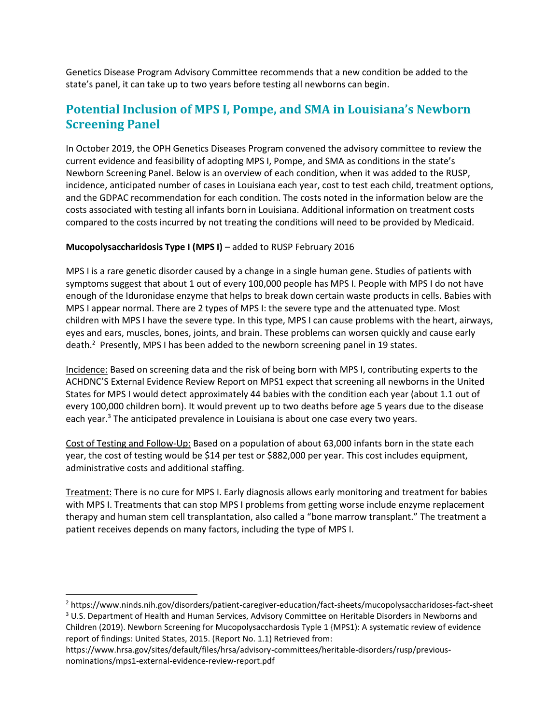Genetics Disease Program Advisory Committee recommends that a new condition be added to the state's panel, it can take up to two years before testing all newborns can begin.

## **Potential Inclusion of MPS I, Pompe, and SMA in Louisiana's Newborn Screening Panel**

In October 2019, the OPH Genetics Diseases Program convened the advisory committee to review the current evidence and feasibility of adopting MPS I, Pompe, and SMA as conditions in the state's Newborn Screening Panel. Below is an overview of each condition, when it was added to the RUSP, incidence, anticipated number of cases in Louisiana each year, cost to test each child, treatment options, and the GDPAC recommendation for each condition. The costs noted in the information below are the costs associated with testing all infants born in Louisiana. Additional information on treatment costs compared to the costs incurred by not treating the conditions will need to be provided by Medicaid.

#### **Mucopolysaccharidosis Type I (MPS I)** – added to RUSP February 2016

MPS I is a rare genetic disorder caused by a change in a single human gene. Studies of patients with symptoms suggest that about 1 out of every 100,000 people has MPS I. People with MPS I do not have enough of the Iduronidase enzyme that helps to break down certain waste products in cells. Babies with MPS I appear normal. There are 2 types of MPS I: the severe type and the attenuated type. Most children with MPS I have the severe type. In this type, MPS I can cause problems with the heart, airways, eyes and ears, muscles, bones, joints, and brain. These problems can worsen quickly and cause early death.<sup>2</sup> Presently, MPS I has been added to the newborn screening panel in 19 states.

Incidence: Based on screening data and the risk of being born with MPS I, contributing experts to the ACHDNC'S External Evidence Review Report on MPS1 expect that screening all newborns in the United States for MPS I would detect approximately 44 babies with the condition each year (about 1.1 out of every 100,000 children born). It would prevent up to two deaths before age 5 years due to the disease each year.<sup>3</sup> The anticipated prevalence in Louisiana is about one case every two years.

Cost of Testing and Follow-Up: Based on a population of about 63,000 infants born in the state each year, the cost of testing would be \$14 per test or \$882,000 per year. This cost includes equipment, administrative costs and additional staffing.

Treatment: There is no cure for MPS I. Early diagnosis allows early monitoring and treatment for babies with MPS I. Treatments that can stop MPS I problems from getting worse include enzyme replacement therapy and human stem cell transplantation, also called a "bone marrow transplant." The treatment a patient receives depends on many factors, including the type of MPS I.

 $\overline{\phantom{a}}$ 

<sup>2</sup> https://www.ninds.nih.gov/disorders/patient-caregiver-education/fact-sheets/mucopolysaccharidoses-fact-sheet <sup>3</sup> U.S. Department of Health and Human Services, Advisory Committee on Heritable Disorders in Newborns and Children (2019). Newborn Screening for Mucopolysacchardosis Typle 1 {MPS1): A systematic review of evidence report of findings: United States, 2015. (Report No. 1.1) Retrieved from:

[https://www.hrsa.gov/sites/default/files/hrsa/advisory-committees/heritable-disorders/rusp/previous](https://www.hrsa.gov/sites/default/files/hrsa/advisory-committees/heritable-disorders/rusp/previous-nominations/mps1-external-evidence-review-report.pdf)[nominations/mps1-external-evidence-review-report.pdf](https://www.hrsa.gov/sites/default/files/hrsa/advisory-committees/heritable-disorders/rusp/previous-nominations/mps1-external-evidence-review-report.pdf)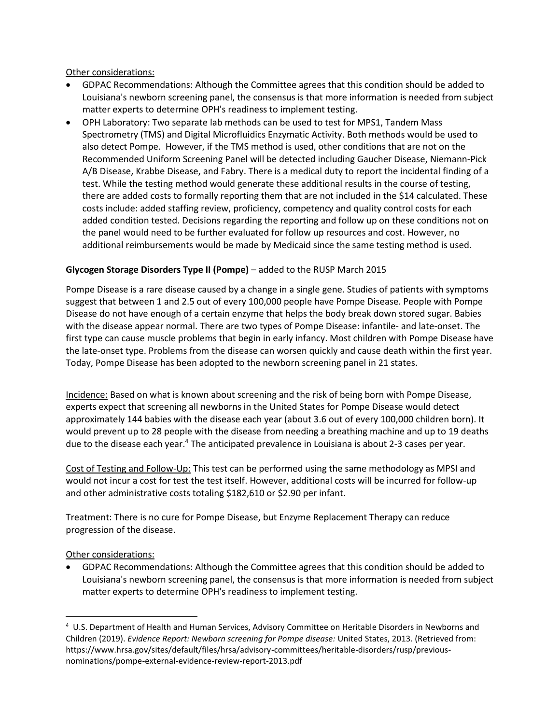Other considerations:

- GDPAC Recommendations: Although the Committee agrees that this condition should be added to Louisiana's newborn screening panel, the consensus is that more information is needed from subject matter experts to determine OPH's readiness to implement testing.
- OPH Laboratory: Two separate lab methods can be used to test for MPS1, Tandem Mass Spectrometry (TMS) and Digital Microfluidics Enzymatic Activity. Both methods would be used to also detect Pompe. However, if the TMS method is used, other conditions that are not on the Recommended Uniform Screening Panel will be detected including Gaucher Disease, Niemann-Pick A/B Disease, Krabbe Disease, and Fabry. There is a medical duty to report the incidental finding of a test. While the testing method would generate these additional results in the course of testing, there are added costs to formally reporting them that are not included in the \$14 calculated. These costs include: added staffing review, proficiency, competency and quality control costs for each added condition tested. Decisions regarding the reporting and follow up on these conditions not on the panel would need to be further evaluated for follow up resources and cost. However, no additional reimbursements would be made by Medicaid since the same testing method is used.

#### **Glycogen Storage Disorders Type II (Pompe)** – added to the RUSP March 2015

Pompe Disease is a rare disease caused by a change in a single gene. Studies of patients with symptoms suggest that between 1 and 2.5 out of every 100,000 people have Pompe Disease. People with Pompe Disease do not have enough of a certain enzyme that helps the body break down stored sugar. Babies with the disease appear normal. There are two types of Pompe Disease: infantile- and late-onset. The first type can cause muscle problems that begin in early infancy. Most children with Pompe Disease have the late-onset type. Problems from the disease can worsen quickly and cause death within the first year. Today, Pompe Disease has been adopted to the newborn screening panel in 21 states.

Incidence: Based on what is known about screening and the risk of being born with Pompe Disease, experts expect that screening all newborns in the United States for Pompe Disease would detect approximately 144 babies with the disease each year (about 3.6 out of every 100,000 children born). It would prevent up to 28 people with the disease from needing a breathing machine and up to 19 deaths due to the disease each year.<sup>4</sup> The anticipated prevalence in Louisiana is about 2-3 cases per year.

Cost of Testing and Follow-Up: This test can be performed using the same methodology as MPSI and would not incur a cost for test the test itself. However, additional costs will be incurred for follow-up and other administrative costs totaling \$182,610 or \$2.90 per infant.

Treatment: There is no cure for Pompe Disease, but Enzyme Replacement Therapy can reduce progression of the disease.

Other considerations:

l

 GDPAC Recommendations: Although the Committee agrees that this condition should be added to Louisiana's newborn screening panel, the consensus is that more information is needed from subject matter experts to determine OPH's readiness to implement testing.

<sup>&</sup>lt;sup>4</sup> U.S. Department of Health and Human Services, Advisory Committee on Heritable Disorders in Newborns and Children (2019). *Evidence Report: Newborn screening for Pompe disease:* United States, 2013. (Retrieved from: https://www.hrsa.gov/sites/default/files/hrsa/advisory-committees/heritable-disorders/rusp/previousnominations/pompe-external-evidence-review-report-2013.pdf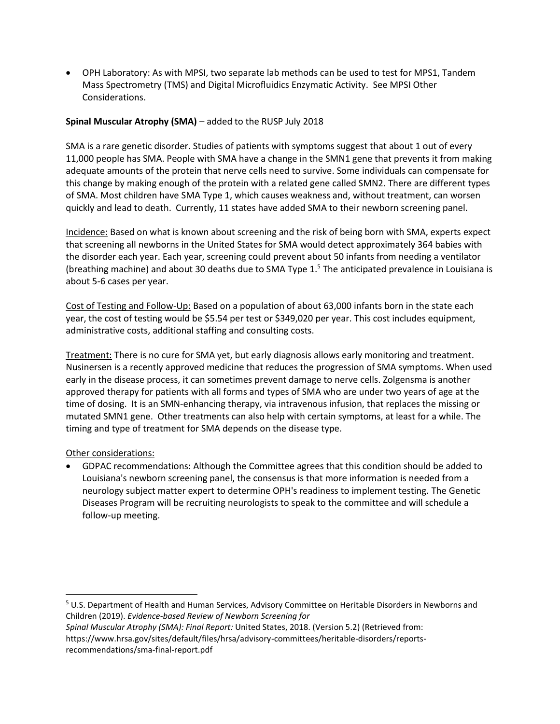OPH Laboratory: As with MPSI, two separate lab methods can be used to test for MPS1, Tandem Mass Spectrometry (TMS) and Digital Microfluidics Enzymatic Activity. See MPSI Other Considerations.

#### **Spinal Muscular Atrophy (SMA)** – added to the RUSP July 2018

SMA is a rare genetic disorder. Studies of patients with symptoms suggest that about 1 out of every 11,000 people has SMA. People with SMA have a change in the SMN1 gene that prevents it from making adequate amounts of the protein that nerve cells need to survive. Some individuals can compensate for this change by making enough of the protein with a related gene called SMN2. There are different types of SMA. Most children have SMA Type 1, which causes weakness and, without treatment, can worsen quickly and lead to death. Currently, 11 states have added SMA to their newborn screening panel.

Incidence: Based on what is known about screening and the risk of being born with SMA, experts expect that screening all newborns in the United States for SMA would detect approximately 364 babies with the disorder each year. Each year, screening could prevent about 50 infants from needing a ventilator (breathing machine) and about 30 deaths due to SMA Type 1.<sup>5</sup> The anticipated prevalence in Louisiana is about 5-6 cases per year.

Cost of Testing and Follow-Up: Based on a population of about 63,000 infants born in the state each year, the cost of testing would be \$5.54 per test or \$349,020 per year. This cost includes equipment, administrative costs, additional staffing and consulting costs.

Treatment: There is no cure for SMA yet, but early diagnosis allows early monitoring and treatment. Nusinersen is a recently approved medicine that reduces the progression of SMA symptoms. When used early in the disease process, it can sometimes prevent damage to nerve cells. Zolgensma is another approved therapy for patients with all forms and types of SMA who are under two years of age at the time of dosing. It is an SMN-enhancing therapy, via intravenous infusion, that replaces the missing or mutated SMN1 gene. Other treatments can also help with certain symptoms, at least for a while. The timing and type of treatment for SMA depends on the disease type.

#### Other considerations:

 $\overline{\phantom{a}}$ 

 GDPAC recommendations: Although the Committee agrees that this condition should be added to Louisiana's newborn screening panel, the consensus is that more information is needed from a neurology subject matter expert to determine OPH's readiness to implement testing. The Genetic Diseases Program will be recruiting neurologists to speak to the committee and will schedule a follow-up meeting.

<sup>5</sup> U.S. Department of Health and Human Services, Advisory Committee on Heritable Disorders in Newborns and Children (2019). *Evidence-based Review of Newborn Screening for*

*Spinal Muscular Atrophy (SMA): Final Report:* United States, 2018. (Version 5.2) (Retrieved from: https://www.hrsa.gov/sites/default/files/hrsa/advisory-committees/heritable-disorders/reportsrecommendations/sma-final-report.pdf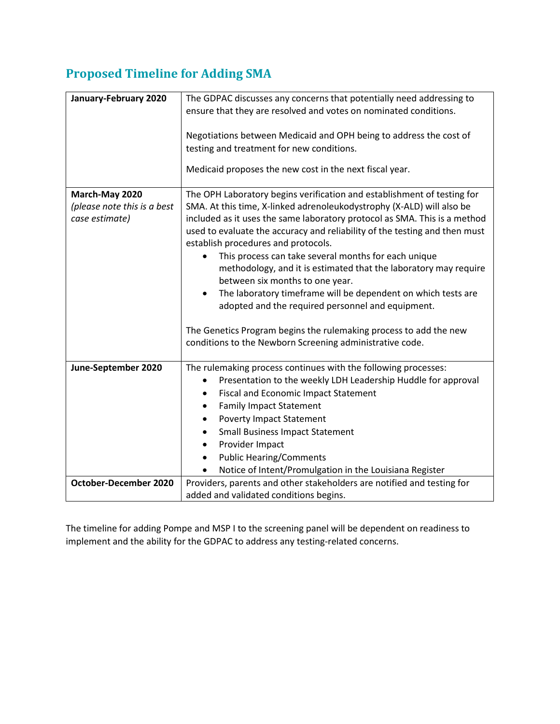# **Proposed Timeline for Adding SMA**

| January-February 2020        | The GDPAC discusses any concerns that potentially need addressing to       |
|------------------------------|----------------------------------------------------------------------------|
|                              | ensure that they are resolved and votes on nominated conditions.           |
|                              |                                                                            |
|                              | Negotiations between Medicaid and OPH being to address the cost of         |
|                              | testing and treatment for new conditions.                                  |
|                              | Medicaid proposes the new cost in the next fiscal year.                    |
|                              |                                                                            |
| March-May 2020               | The OPH Laboratory begins verification and establishment of testing for    |
| (please note this is a best  | SMA. At this time, X-linked adrenoleukodystrophy (X-ALD) will also be      |
| case estimate)               | included as it uses the same laboratory protocol as SMA. This is a method  |
|                              | used to evaluate the accuracy and reliability of the testing and then must |
|                              | establish procedures and protocols.                                        |
|                              | This process can take several months for each unique                       |
|                              | methodology, and it is estimated that the laboratory may require           |
|                              | between six months to one year.                                            |
|                              | The laboratory timeframe will be dependent on which tests are<br>$\bullet$ |
|                              | adopted and the required personnel and equipment.                          |
|                              | The Genetics Program begins the rulemaking process to add the new          |
|                              | conditions to the Newborn Screening administrative code.                   |
|                              |                                                                            |
| June-September 2020          | The rulemaking process continues with the following processes:             |
|                              | Presentation to the weekly LDH Leadership Huddle for approval              |
|                              | <b>Fiscal and Economic Impact Statement</b>                                |
|                              | <b>Family Impact Statement</b><br>$\bullet$                                |
|                              | <b>Poverty Impact Statement</b><br>٠                                       |
|                              | <b>Small Business Impact Statement</b><br>٠                                |
|                              | Provider Impact<br>$\bullet$                                               |
|                              | <b>Public Hearing/Comments</b>                                             |
|                              | Notice of Intent/Promulgation in the Louisiana Register                    |
| <b>October-December 2020</b> | Providers, parents and other stakeholders are notified and testing for     |
|                              | added and validated conditions begins.                                     |

The timeline for adding Pompe and MSP I to the screening panel will be dependent on readiness to implement and the ability for the GDPAC to address any testing-related concerns.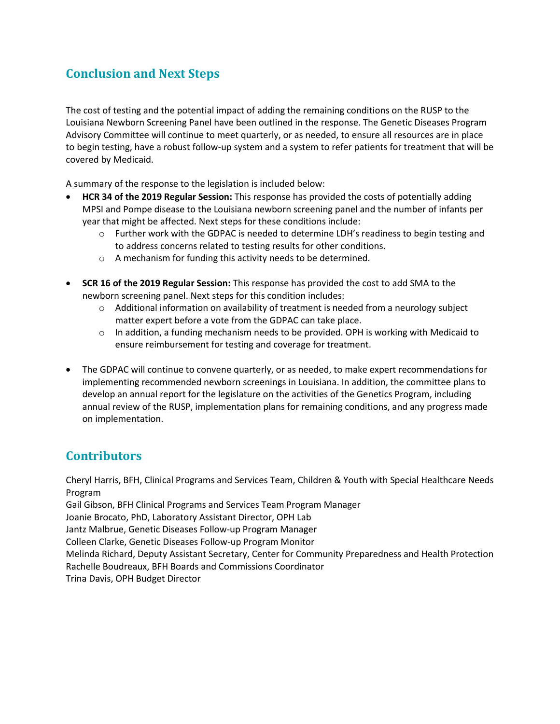# **Conclusion and Next Steps**

The cost of testing and the potential impact of adding the remaining conditions on the RUSP to the Louisiana Newborn Screening Panel have been outlined in the response. The Genetic Diseases Program Advisory Committee will continue to meet quarterly, or as needed, to ensure all resources are in place to begin testing, have a robust follow-up system and a system to refer patients for treatment that will be covered by Medicaid.

A summary of the response to the legislation is included below:

- **HCR 34 of the 2019 Regular Session:** This response has provided the costs of potentially adding MPSI and Pompe disease to the Louisiana newborn screening panel and the number of infants per year that might be affected. Next steps for these conditions include:
	- $\circ$  Further work with the GDPAC is needed to determine LDH's readiness to begin testing and to address concerns related to testing results for other conditions.
	- o A mechanism for funding this activity needs to be determined.
- **SCR 16 of the 2019 Regular Session:** This response has provided the cost to add SMA to the newborn screening panel. Next steps for this condition includes:
	- $\circ$  Additional information on availability of treatment is needed from a neurology subject matter expert before a vote from the GDPAC can take place.
	- $\circ$  In addition, a funding mechanism needs to be provided. OPH is working with Medicaid to ensure reimbursement for testing and coverage for treatment.
- The GDPAC will continue to convene quarterly, or as needed, to make expert recommendations for implementing recommended newborn screenings in Louisiana. In addition, the committee plans to develop an annual report for the legislature on the activities of the Genetics Program, including annual review of the RUSP, implementation plans for remaining conditions, and any progress made on implementation.

### **Contributors**

Cheryl Harris, BFH, Clinical Programs and Services Team, Children & Youth with Special Healthcare Needs Program

Gail Gibson, BFH Clinical Programs and Services Team Program Manager

Joanie Brocato, PhD, Laboratory Assistant Director, OPH Lab

Jantz Malbrue, Genetic Diseases Follow-up Program Manager

Colleen Clarke, Genetic Diseases Follow-up Program Monitor

Melinda Richard, Deputy Assistant Secretary, Center for Community Preparedness and Health Protection Rachelle Boudreaux, BFH Boards and Commissions Coordinator

Trina Davis, OPH Budget Director